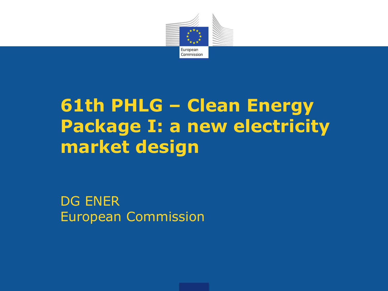

# **61th PHLG – Clean Energy Package I: a new electricity market design**

DG ENER European Commission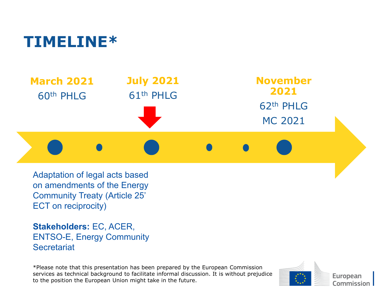#### **TIMELINE\***



Adaptation of legal acts based on amendments of the Energy Community Treaty (Article 25' ECT on reciprocity)

**Stakeholders:** EC, ACER, ENTSO-E, Energy Community **Secretariat** 

\*Please note that this presentation has been prepared by the European Commission services as technical background to facilitate informal discussion. It is without prejudice to the position the European Union might take in the future.



European Commission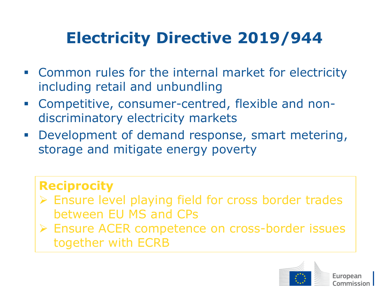## **Electricity Directive 2019/944**

- Common rules for the internal market for electricity including retail and unbundling
- Competitive, consumer-centred, flexible and nondiscriminatory electricity markets
- **Development of demand response, smart metering,** storage and mitigate energy poverty

#### **Reciprocity**

- Ensure level playing field for cross border trades between EU MS and CPs
- Ensure ACER competence on cross-border issues together with ECRB

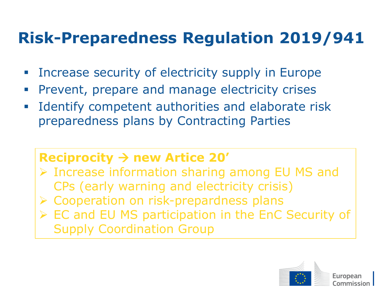### **Risk-Preparedness Regulation 2019/941**

- Increase security of electricity supply in Europe
- **Prevent, prepare and manage electricity crises**
- **IDENTIFY** competent authorities and elaborate risk preparedness plans by Contracting Parties

#### **Reciprocity new Artice 20'**

 Increase information sharing among EU MS and CPs (early warning and electricity crisis) ▶ Cooperation on risk-prepardness plans

EC and EU MS participation in the EnC Security of Supply Coordination Group

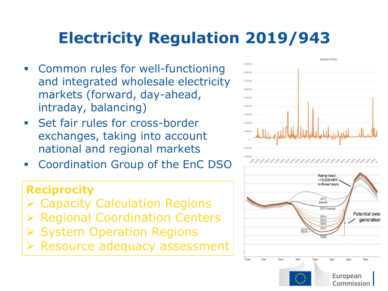## **Electricity Regulation 2019/943**

- Common rules for well-functioning and integrated wholesale electricity markets (forward, day-ahead, intraday, balancing)
- **Set fair rules for cross-border** exchanges, taking into account national and regional markets
- **Example 2 Coordination Group of the EnC DSO**

#### **Reciprocity**

- Capacity Calculation Regions
- Regional Coordination Centers
- System Operation Regions
- Resource adequacy assessment



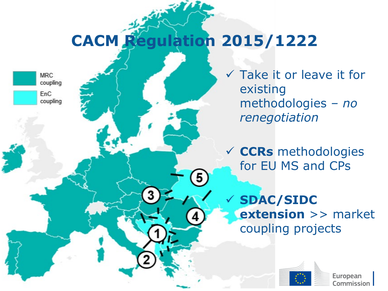## **CACM Regulation 2015/1222**



 $\checkmark$  Take it or leave it for existing methodologies *– no renegotiation*

 **CCRs** methodologies for EU MS and CPs

 **SDAC/SIDC extension** >> market coupling projects

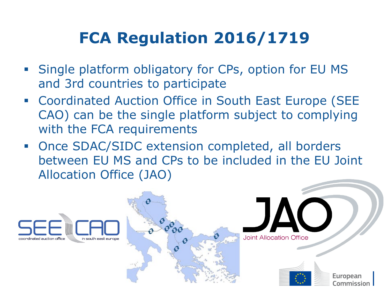### **FCA Regulation 2016/1719**

- **Single platform obligatory for CPs, option for EU MS** and 3rd countries to participate
- Coordinated Auction Office in South East Europe (SEE CAO) can be the single platform subject to complying with the FCA requirements
- Once SDAC/SIDC extension completed, all borders between EU MS and CPs to be included in the EU Joint Allocation Office (JAO)

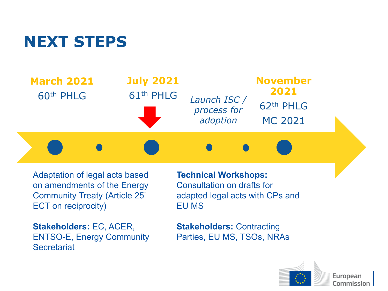#### **NEXT STEPS**



Adaptation of legal acts based on amendments of the Energy Community Treaty (Article 25' ECT on reciprocity)

**Stakeholders:** EC, ACER, ENTSO-E, Energy Community **Secretariat** 

**Technical Workshops:**  Consultation on drafts for adapted legal acts with CPs and EU MS

**Stakeholders:** Contracting Parties, EU MS, TSOs, NRAs

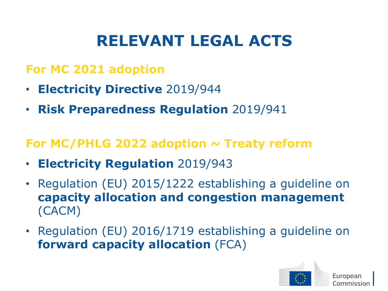### **RELEVANT LEGAL ACTS**

#### **For MC 2021 adoption**

- **Electricity Directive** 2019/944
- **Risk Preparedness Regulation** 2019/941

#### For MC/PHLG 2022 adoption ~ Treaty reform

- **Electricity Regulation** 2019/943
- Regulation (EU) 2015/1222 establishing a guideline on **capacity allocation and congestion management**  (CACM)
- Regulation (EU) 2016/1719 establishing a guideline on **forward capacity allocation** (FCA)